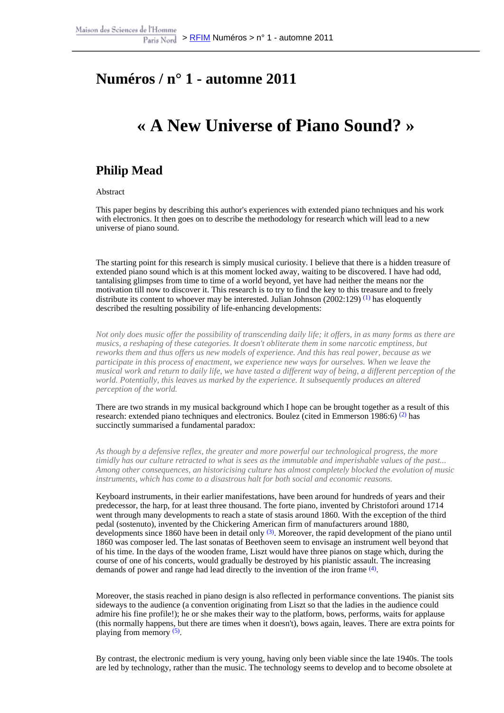### **Numéros / n° 1 - automne 2011**

### **« A New Universe of Piano Sound? »**

#### **Philip Mead**

#### Abstract

This paper begins by describing this author's experiences with extended piano techniques and his work with electronics. It then goes on to describe the methodology for research which will lead to a new universe of piano sound.

The starting point for this research is simply musical curiosity. I believe that there is a hidden treasure of extended piano sound which is at this moment locked away, waiting to be discovered. I have had odd, tantalising glimpses from time to time of a world beyond, yet have had neither the means nor the motivation till now to discover it. This research is to try to find the key to this treasure and to freely distribute its content to whoever may be interested. Julian Johnson (2002:129)  $(1)$  has eloquently described the resulting possibility of life-enhancing developments:

*Not only does music offer the possibility of transcending daily life; it offers, in as many forms as there are musics, a reshaping of these categories. It doesn't obliterate them in some narcotic emptiness, but reworks them and thus offers us new models of experience. And this has real power, because as we participate in this process of enactment, we experience new ways for ourselves. When we leave the musical work and return to daily life, we have tasted a different way of being, a different perception of the world. Potentially, this leaves us marked by the experience. It subsequently produces an altered perception of the world.*

There are two strands in my musical background which I hope can be brought together as a result of this research: extended piano techniques and electronics. Boulez (cited in Emmerson 1986:6) (2) has succinctly summarised a fundamental paradox:

*As though by a defensive reflex, the greater and more powerful our technological progress, the more timidly has our culture retracted to what is sees as the immutable and imperishable values of the past... Among other consequences, an historicising culture has almost completely blocked the evolution of music instruments, which has come to a disastrous halt for both social and economic reasons.*

Keyboard instruments, in their earlier manifestations, have been around for hundreds of years and their predecessor, the harp, for at least three thousand. The forte piano, invented by Christofori around 1714 went through many developments to reach a state of stasis around 1860. With the exception of the third pedal (sostenuto), invented by the Chickering American firm of manufacturers around 1880, developments since 1860 have been in detail only  $(3)$ . Moreover, the rapid development of the piano until 1860 was composer led. The last sonatas of Beethoven seem to envisage an instrument well beyond that of his time. In the days of the wooden frame, Liszt would have three pianos on stage which, during the course of one of his concerts, would gradually be destroyed by his pianistic assault. The increasing demands of power and range had lead directly to the invention of the iron frame <sup>(4)</sup>.

Moreover, the stasis reached in piano design is also reflected in performance conventions. The pianist sits sideways to the audience (a convention originating from Liszt so that the ladies in the audience could admire his fine profile!); he or she makes their way to the platform, bows, performs, waits for applause (this normally happens, but there are times when it doesn't), bows again, leaves. There are extra points for playing from memory <sup>(5)</sup>.

By contrast, the electronic medium is very young, having only been viable since the late 1940s. The tools are led by technology, rather than the music. The technology seems to develop and to become obsolete at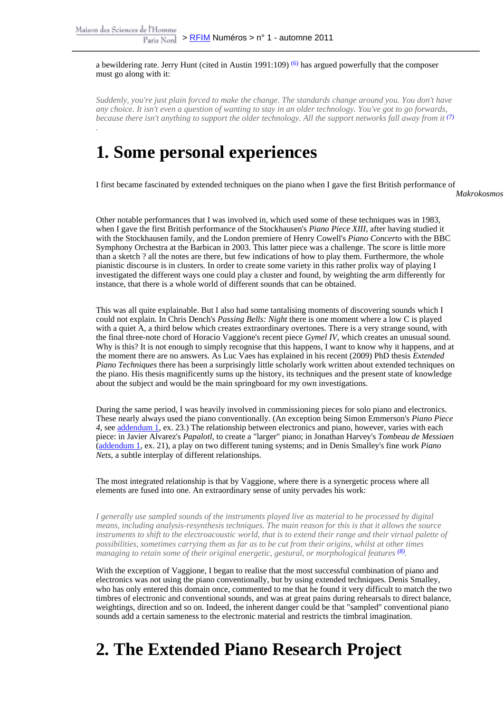a bewildering rate. Jerry Hunt (cited in Austin 1991:109)  $(6)$  has argued powerfully that the composer must go along with it:

*Suddenly, you're just plain forced to make the change. The standards change around you. You don't have any choice. It isn't even a question of wanting to stay in an older technology. You've got to go forwards, because there isn't anything to support the older technology. All the support networks fall away from it (7) .*

## **1. Some personal experiences**

I first became fascinated by extended techniques on the piano when I gave the first British performance of

**Makrokosmos** 

Other notable performances that I was involved in, which used some of these techniques was in 1983, when I gave the first British performance of the Stockhausen's *Piano Piece XIII*, after having studied it with the Stockhausen family, and the London premiere of Henry Cowell's *Piano Concerto* with the BBC Symphony Orchestra at the Barbican in 2003. This latter piece was a challenge. The score is little more than a sketch ? all the notes are there, but few indications of how to play them. Furthermore, the whole pianistic discourse is in clusters. In order to create some variety in this rather prolix way of playing I investigated the different ways one could play a cluster and found, by weighting the arm differently for instance, that there is a whole world of different sounds that can be obtained.

This was all quite explainable. But I also had some tantalising moments of discovering sounds which I could not explain. In Chris Dench's *Passing Bells: Night* there is one moment where a low C is played with a quiet A, a third below which creates extraordinary overtones. There is a very strange sound, with the final three-note chord of Horacio Vaggione's recent piece *Gymel IV*, which creates an unusual sound. Why is this? It is not enough to simply recognise that this happens, I want to know why it happens, and at the moment there are no answers. As Luc Vaes has explained in his recent (2009) PhD thesis *Extended Piano Techniques* there has been a surprisingly little scholarly work written about extended techniques on the piano. His thesis magnificently sums up the history, its techniques and the present state of knowledge about the subject and would be the main springboard for my own investigations.

During the same period, I was heavily involved in commissioning pieces for solo piano and electronics. These nearly always used the piano conventionally. (An exception being Simon Emmerson's *Piano Piece 4*, see [addendum 1,](http://revues.mshparisnord.org/rfim/index.php?id=168&file=1) ex. 23.) The relationship between electronics and piano, however, varies with each piece: in Javier Alvarez's *Papalotl*, to create a "larger" piano; in Jonathan Harvey's *Tombeau de Messiaen* ([addendum 1,](http://revues.mshparisnord.org/rfim/index.php?id=168&file=1) ex. 21), a play on two different tuning systems; and in Denis Smalley's fine work *Piano Nets*, a subtle interplay of different relationships.

The most integrated relationship is that by Vaggione, where there is a synergetic process where all elements are fused into one. An extraordinary sense of unity pervades his work:

*I generally use sampled sounds of the instruments played live as material to be processed by digital means, including analysis-resynthesis techniques. The main reason for this is that it allows the source instruments to shift to the electroacoustic world, that is to extend their range and their virtual palette of possibilities, sometimes carrying them as far as to be cut from their origins, whilst at other times* managing to retain some of their original energetic, gestural, or morphological features <sup>(8)</sup>.

With the exception of Vaggione, I began to realise that the most successful combination of piano and electronics was not using the piano conventionally, but by using extended techniques. Denis Smalley, who has only entered this domain once, commented to me that he found it very difficult to match the two timbres of electronic and conventional sounds, and was at great pains during rehearsals to direct balance, weightings, direction and so on. Indeed, the inherent danger could be that "sampled" conventional piano sounds add a certain sameness to the electronic material and restricts the timbral imagination.

# **2. The Extended Piano Research Project**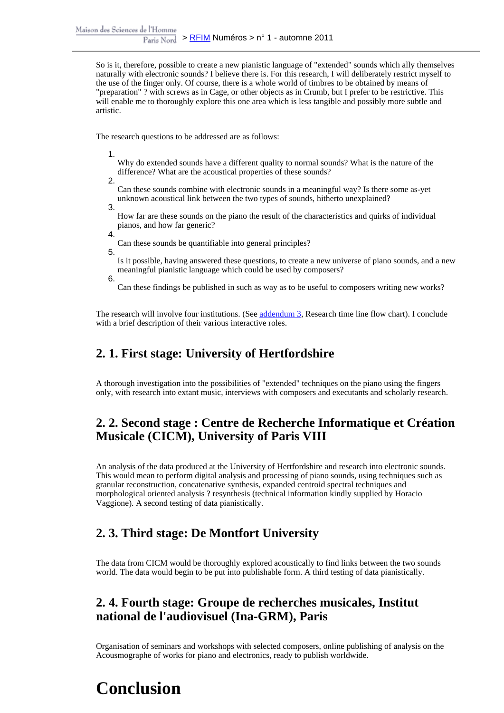So is it, therefore, possible to create a new pianistic language of "extended" sounds which ally themselves naturally with electronic sounds? I believe there is. For this research, I will deliberately restrict myself to the use of the finger only. Of course, there is a whole world of timbres to be obtained by means of "preparation" ? with screws as in Cage, or other objects as in Crumb, but I prefer to be restrictive. This will enable me to thoroughly explore this one area which is less tangible and possibly more subtle and artistic.

The research questions to be addressed are as follows:

1.

Why do extended sounds have a different quality to normal sounds? What is the nature of the difference? What are the acoustical properties of these sounds?

2.

Can these sounds combine with electronic sounds in a meaningful way? Is there some as-yet unknown acoustical link between the two types of sounds, hitherto unexplained?

3.

How far are these sounds on the piano the result of the characteristics and quirks of individual pianos, and how far generic?

- 4. Can these sounds be quantifiable into general principles?
- 5.

Is it possible, having answered these questions, to create a new universe of piano sounds, and a new meaningful pianistic language which could be used by composers?

6.

Can these findings be published in such as way as to be useful to composers writing new works?

The research will involve four institutions. (See [addendum 3,](http://revues.mshparisnord.org/rfim/index.php?id=167&file=1) Research time line flow chart). I conclude with a brief description of their various interactive roles.

#### **2. 1. First stage: University of Hertfordshire**

A thorough investigation into the possibilities of "extended" techniques on the piano using the fingers only, with research into extant music, interviews with composers and executants and scholarly research.

#### **2. 2. Second stage : Centre de Recherche Informatique et Création Musicale (CICM), University of Paris VIII**

An analysis of the data produced at the University of Hertfordshire and research into electronic sounds. This would mean to perform digital analysis and processing of piano sounds, using techniques such as granular reconstruction, concatenative synthesis, expanded centroid spectral techniques and morphological oriented analysis ? resynthesis (technical information kindly supplied by Horacio Vaggione). A second testing of data pianistically.

### **2. 3. Third stage: De Montfort University**

The data from CICM would be thoroughly explored acoustically to find links between the two sounds world. The data would begin to be put into publishable form. A third testing of data pianistically.

#### **2. 4. Fourth stage: Groupe de recherches musicales, Institut national de l'audiovisuel (Ina-GRM), Paris**

Organisation of seminars and workshops with selected composers, online publishing of analysis on the Acousmographe of works for piano and electronics, ready to publish worldwide.

## **Conclusion**